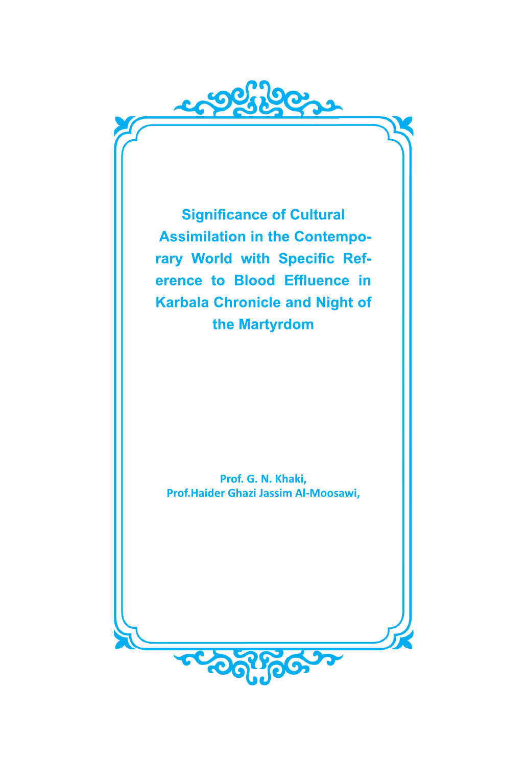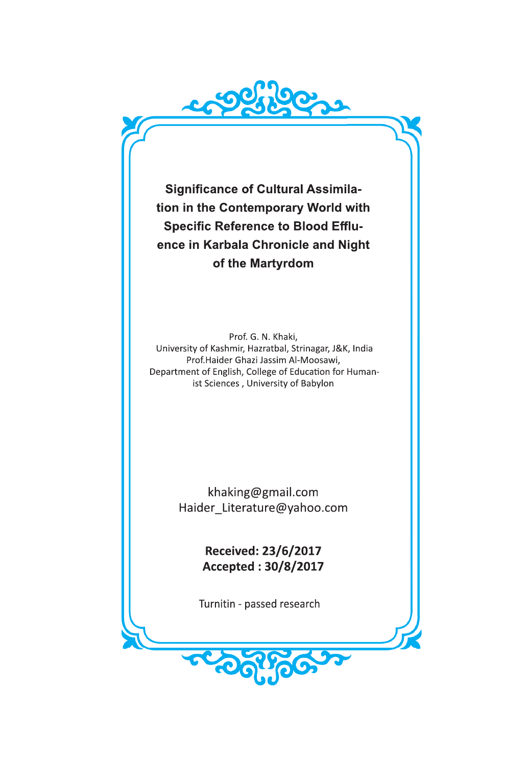**Significance of Cultural Assimilation in the Contemporary World with Specific Reference to Blood Effluence in Karbala Chronicle and Night of the Martyrdom**

Prof. G. N. Khaki, University of Kashmir, Hazratbal, Strinagar, J&K, India Prof.Haider Ghazi Jassim Al-Moosawi, Department of English, College of Education for Humanist Sciences , University of Babylon

> khaking@gmail.com Haider\_Literature@yahoo.com

> > **Received: 23/6/2017 Accepted : 30/8/2017**

Turnitin - passed research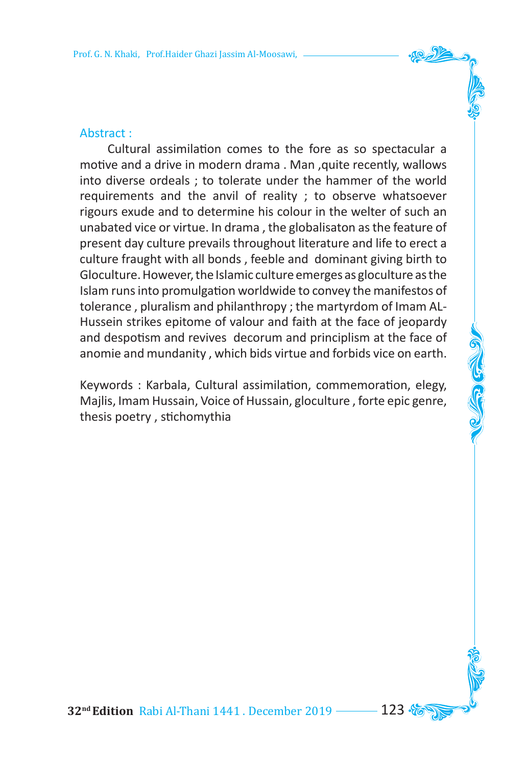### Abstract :

 Cultural assimilation comes to the fore as so spectacular a motive and a drive in modern drama, Man, quite recently, wallows into diverse ordeals ; to tolerate under the hammer of the world requirements and the anvil of reality ; to observe whatsoever rigours exude and to determine his colour in the welter of such an unabated vice or virtue. In drama , the globalisaton asthe feature of present day culture prevails throughout literature and life to erect a culture fraught with all bonds , feeble and dominant giving birth to Gloculture. However, the Islamic culture emerges as gloculture asthe Islam runsinto promulgation worldwide to convey the manifestos of tolerance , pluralism and philanthropy ; the martyrdom of Imam AL-Hussein strikes epitome of valour and faith at the face of jeopardy and despotism and revives decorum and principlism at the face of anomie and mundanity , which bids virtue and forbids vice on earth.

Keywords : Karbala, Cultural assimilation, commemoration, elegy, Majlis, Imam Hussain, Voice of Hussain, gloculture , forte epic genre, thesis poetry , stichomythia

**32<sup>nd</sup> Edition** Rabi Al-Thani 1441 . December 2019 --------- 123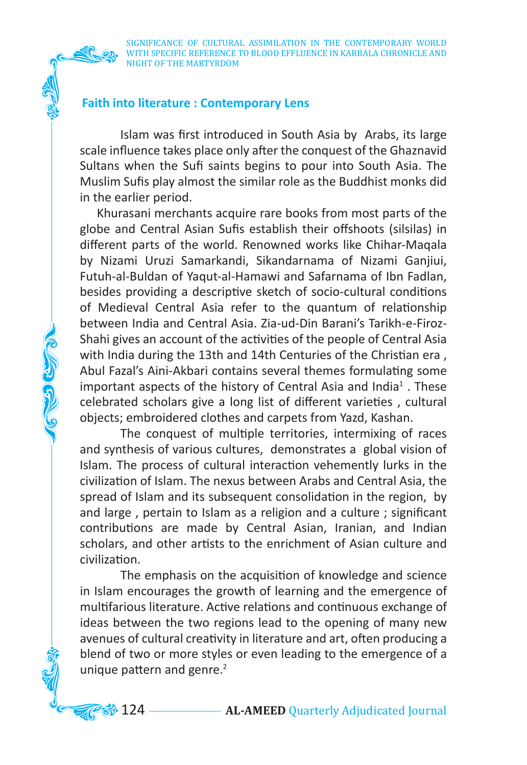Colla Colla

SIGNIFICANCE OF CULTURAL ASSIMILATION IN THE CONTEMPORARY WORLD WITH SPECIFIC REFERENCE TO BLOOD EFFLUENCE IN KARBALA CHRONICLE AND NIGHT OF THE MARTYRDOM

# **Faith into literature : Contemporary Lens**

Islam was first introduced in South Asia by Arabs, its large scale influence takes place only after the conquest of the Ghaznavid Sultans when the Sufi saints begins to pour into South Asia. The Muslim Sufis play almost the similar role as the Buddhist monks did in the earlier period.

 Khurasani merchants acquire rare books from most parts of the globe and Central Asian Sufis establish their offshoots (silsilas) in different parts of the world. Renowned works like Chihar-Maqala by Nizami Uruzi Samarkandi, Sikandarnama of Nizami Ganjiui, Futuh-al-Buldan of Yaqut-al-Hamawi and Safarnama of Ibn Fadlan, besides providing a descriptive sketch of socio-cultural conditions of Medieval Central Asia refer to the quantum of relationship between India and Central Asia. Zia-ud-Din Barani's Tarikh-e-Firoz-Shahi gives an account of the activities of the people of Central Asia with India during the 13th and 14th Centuries of the Christian era , Abul Fazal's Aini-Akbari contains several themes formulating some important aspects of the history of Central Asia and India<sup>1</sup>. These celebrated scholars give a long list of different varieties , cultural objects; embroidered clothes and carpets from Yazd, Kashan.

The conquest of multiple territories, intermixing of races and synthesis of various cultures, demonstrates a global vision of Islam. The process of cultural interaction vehemently lurks in the civilization of Islam. The nexus between Arabs and Central Asia, the spread of Islam and its subsequent consolidation in the region, by and large , pertain to Islam as a religion and a culture ; significant contributions are made by Central Asian, Iranian, and Indian scholars, and other artists to the enrichment of Asian culture and civilization.

The emphasis on the acquisition of knowledge and science in Islam encourages the growth of learning and the emergence of multifarious literature. Active relations and continuous exchange of ideas between the two regions lead to the opening of many new avenues of cultural creativity in literature and art, often producing a blend of two or more styles or even leading to the emergence of a unique pattern and genre. 2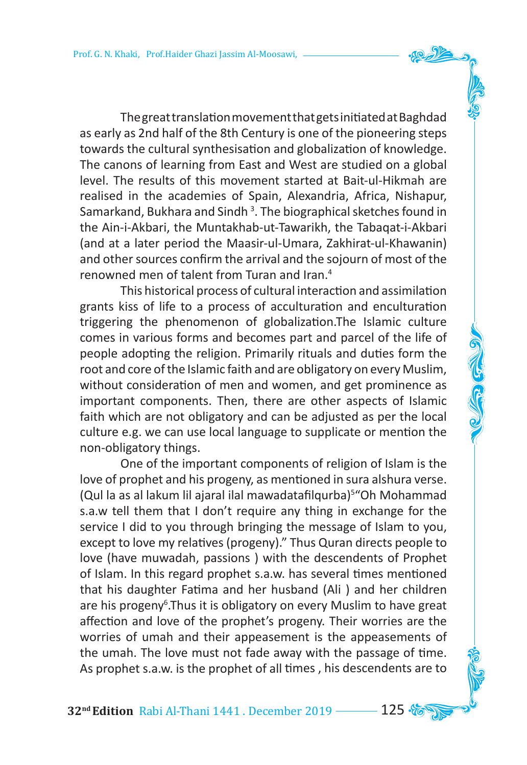ThegreattranslationmovementthatgetsinitiatedatBaghdad as early as 2nd half of the 8th Century is one of the pioneering steps towards the cultural synthesisation and globalization of knowledge. The canons of learning from East and West are studied on a global level. The results of this movement started at Bait-ul-Hikmah are realised in the academies of Spain, Alexandria, Africa, Nishapur, Samarkand, Bukhara and Sindh <sup>3</sup>. The biographical sketches found in the Ain-i-Akbari, the Muntakhab-ut-Tawarikh, the Tabaqat-i-Akbari (and at a later period the Maasir-ul-Umara, Zakhirat-ul-Khawanin) and other sources confirm the arrival and the sojourn of most of the renowned men of talent from Turan and Iran. 4

This historical process of cultural interaction and assimilation grants kiss of life to a process of acculturation and enculturation triggering the phenomenon of globalization.The Islamic culture comes in various forms and becomes part and parcel of the life of people adopting the religion. Primarily rituals and duties form the root and core of the Islamic faith and are obligatory on every Muslim, without consideration of men and women, and get prominence as important components. Then, there are other aspects of Islamic faith which are not obligatory and can be adjusted as per the local culture e.g. we can use local language to supplicate or mention the non-obligatory things.

One of the important components of religion of Islam is the love of prophet and his progeny, as mentioned in sura alshura verse. (Qul la as al lakum lil ajaral ilal mawadatafilqurba) 5 "Oh Mohammad s.a.w tell them that I don't require any thing in exchange for the service I did to you through bringing the message of Islam to you, except to love my relatives (progeny)." Thus Quran directs people to love (have muwadah, passions ) with the descendents of Prophet of Islam. In this regard prophet s.a.w. has several times mentioned that his daughter Fatima and her husband (Ali ) and her children are his progeny<sup>6</sup>.Thus it is obligatory on every Muslim to have great affection and love of the prophet's progeny. Their worries are the worries of umah and their appeasement is the appeasements of the umah. The love must not fade away with the passage of time. As prophet s.a.w. is the prophet of all times , his descendents are to

**32<sup>nd</sup> Edition** Rabi Al-Thani 1441 . December 2019 -------- 125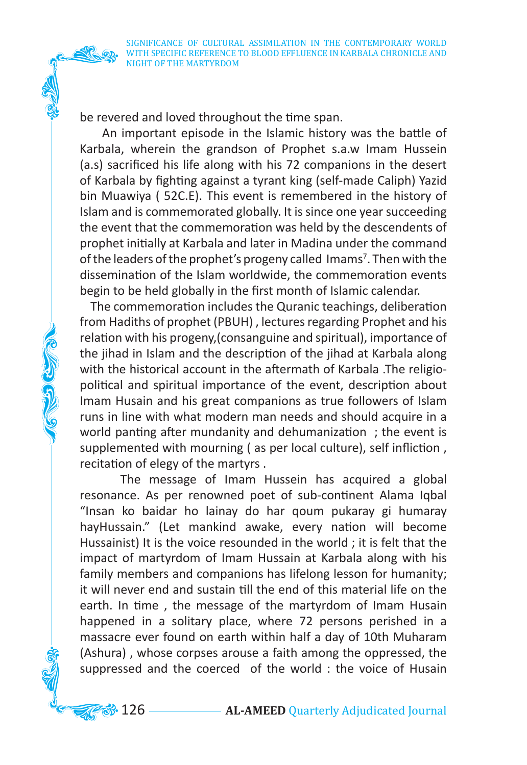be revered and loved throughout the time span.

**COLORED COLOR** 

 An important episode in the Islamic history was the battle of Karbala, wherein the grandson of Prophet s.a.w Imam Hussein (a.s) sacrificed his life along with his 72 companions in the desert of Karbala by fighting against a tyrant king (self-made Caliph) Yazid bin Muawiya ( 52C.E). This event is remembered in the history of Islam and is commemorated globally. It is since one year succeeding the event that the commemoration was held by the descendents of prophet initially at Karbala and later in Madina under the command of the leaders of the prophet's progeny called Imams<sup>7</sup>. Then with the dissemination of the Islam worldwide, the commemoration events begin to be held globally in the first month of Islamic calendar.

 The commemoration includes the Quranic teachings, deliberation from Hadiths of prophet (PBUH), lectures regarding Prophet and his relation with his progeny,(consanguine and spiritual), importance of the jihad in Islam and the description of the jihad at Karbala along with the historical account in the aftermath of Karbala .The religiopolitical and spiritual importance of the event, description about Imam Husain and his great companions as true followers of Islam runs in line with what modern man needs and should acquire in a world panting after mundanity and dehumanization ; the event is supplemented with mourning ( as per local culture), self infliction , recitation of elegy of the martyrs .

The message of Imam Hussein has acquired a global resonance. As per renowned poet of sub-continent Alama Iqbal "Insan ko baidar ho lainay do har qoum pukaray gi humaray hayHussain." (Let mankind awake, every nation will become Hussainist) It is the voice resounded in the world ; it is felt that the impact of martyrdom of Imam Hussain at Karbala along with his family members and companions has lifelong lesson for humanity; it will never end and sustain till the end of this material life on the earth. In time , the message of the martyrdom of Imam Husain happened in a solitary place, where 72 persons perished in a massacre ever found on earth within half a day of 10th Muharam (Ashura) , whose corpses arouse a faith among the oppressed, the suppressed and the coerced of the world : the voice of Husain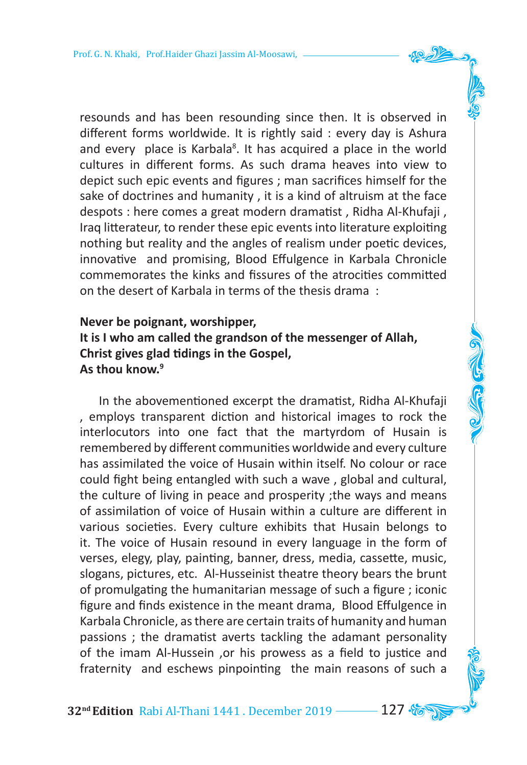resounds and has been resounding since then. It is observed in different forms worldwide. It is rightly said : every day is Ashura and every place is Karbala<sup>8</sup>. It has acquired a place in the world cultures in different forms. As such drama heaves into view to depict such epic events and figures ; man sacrifices himself for the sake of doctrines and humanity , it is a kind of altruism at the face despots : here comes a great modern dramatist , Ridha Al-Khufaji , Iraq litterateur, to render these epic events into literature exploiting nothing but reality and the angles of realism under poetic devices, innovative and promising, Blood Effulgence in Karbala Chronicle commemorates the kinks and fissures of the atrocities committed on the desert of Karbala in terms of the thesis drama :

# **Never be poignant, worshipper, It is I who am called the grandson of the messenger of Allah, Christ gives glad tidings in the Gospel, As thou know.9**

 In the abovementioned excerpt the dramatist, Ridha Al-Khufaji , employs transparent diction and historical images to rock the interlocutors into one fact that the martyrdom of Husain is remembered by different communities worldwide and every culture has assimilated the voice of Husain within itself. No colour or race could fight being entangled with such a wave , global and cultural, the culture of living in peace and prosperity ;the ways and means of assimilation of voice of Husain within a culture are different in various societies. Every culture exhibits that Husain belongs to it. The voice of Husain resound in every language in the form of verses, elegy, play, painting, banner, dress, media, cassette, music, slogans, pictures, etc. Al-Husseinist theatre theory bears the brunt of promulgating the humanitarian message of such a figure ; iconic figure and finds existence in the meant drama, Blood Effulgence in Karbala Chronicle, asthere are certain traits of humanity and human passions ; the dramatist averts tackling the adamant personality of the imam Al-Hussein ,or his prowess as a field to justice and fraternity and eschews pinpointing the main reasons of such a

**32nd Edition** Rabi Al-Thani 1441 . December 2019 127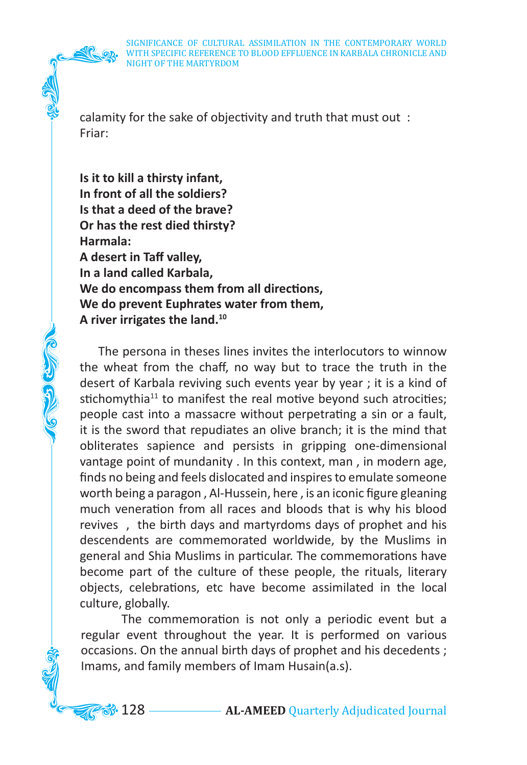Company of the

calamity for the sake of objectivity and truth that must out : Friar:

**Is it to kill a thirsty infant, In front of all the soldiers? Is that a deed of the brave? Or has the rest died thirsty? Harmala: A desert in Taff valley, In a land called Karbala, We do encompass them from all directions, We do prevent Euphrates water from them, A river irrigates the land. 10**

 The persona in theses lines invites the interlocutors to winnow the wheat from the chaff, no way but to trace the truth in the desert of Karbala reviving such events year by year ; it is a kind of stichomythia<sup>11</sup> to manifest the real motive beyond such atrocities; people cast into a massacre without perpetrating a sin or a fault, it is the sword that repudiates an olive branch; it is the mind that obliterates sapience and persists in gripping one-dimensional vantage point of mundanity . In this context, man , in modern age, finds no being and feels dislocated and inspires to emulate someone worth being a paragon , Al-Hussein, here , is an iconic figure gleaning much veneration from all races and bloods that is why his blood revives , the birth days and martyrdoms days of prophet and his descendents are commemorated worldwide, by the Muslims in general and Shia Muslims in particular. The commemorations have become part of the culture of these people, the rituals, literary objects, celebrations, etc have become assimilated in the local culture, globally.

The commemoration is not only a periodic event but a regular event throughout the year. It is performed on various occasions. On the annual birth days of prophet and his decedents ; Imams, and family members of Imam Husain(a.s).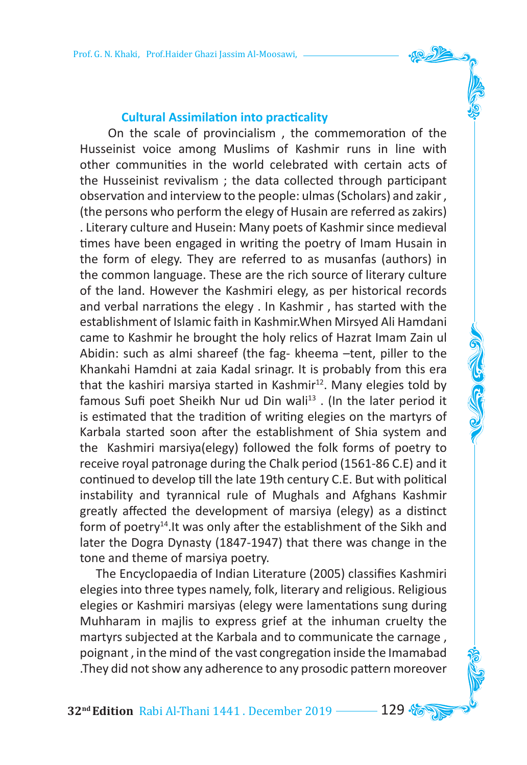#### **Cultural Assimilation into practicality**

 On the scale of provincialism , the commemoration of the Husseinist voice among Muslims of Kashmir runs in line with other communities in the world celebrated with certain acts of the Husseinist revivalism ; the data collected through participant observation and interview to the people: ulmas (Scholars) and zakir , (the persons who perform the elegy of Husain are referred aszakirs) . Literary culture and Husein: Many poets of Kashmir since medieval times have been engaged in writing the poetry of Imam Husain in the form of elegy. They are referred to as musanfas (authors) in the common language. These are the rich source of literary culture of the land. However the Kashmiri elegy, as per historical records and verbal narrations the elegy . In Kashmir , has started with the establishment of Islamic faith in Kashmir.When Mirsyed Ali Hamdani came to Kashmir he brought the holy relics of Hazrat Imam Zain ul Abidin: such as almi shareef (the fag- kheema –tent, piller to the Khankahi Hamdni at zaia Kadal srinagr. It is probably from this era that the kashiri marsiya started in Kashmir $12$ . Many elegies told by famous Sufi poet Sheikh Nur ud Din wali<sup>13</sup>. (In the later period it is estimated that the tradition of writing elegies on the martyrs of Karbala started soon after the establishment of Shia system and the Kashmiri marsiya(elegy) followed the folk forms of poetry to receive royal patronage during the Chalk period (1561-86 C.E) and it continued to develop till the late 19th century C.E. But with political instability and tyrannical rule of Mughals and Afghans Kashmir greatly affected the development of marsiya (elegy) as a distinct form of poetry<sup>14</sup>. It was only after the establishment of the Sikh and later the Dogra Dynasty (1847-1947) that there was change in the tone and theme of marsiya poetry.

 The Encyclopaedia of Indian Literature (2005) classifies Kashmiri elegies into three types namely, folk, literary and religious. Religious elegies or Kashmiri marsiyas (elegy were lamentations sung during Muhharam in majlis to express grief at the inhuman cruelty the martyrs subjected at the Karbala and to communicate the carnage , poignant, in the mind of the vast congregation inside the Imamabad .They did not show any adherence to any prosodic pattern moreover

**32<sup>nd</sup> Edition** Rabi Al-Thani 1441 . December 2019 ––––– 129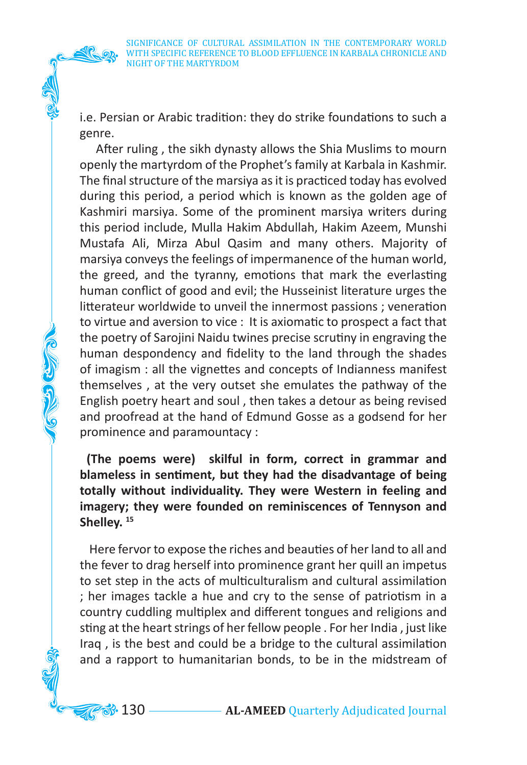i.e. Persian or Arabic tradition: they do strike foundations to such a genre.

 After ruling , the sikh dynasty allows the Shia Muslims to mourn openly the martyrdom of the Prophet'sfamily at Karbala in Kashmir. The final structure of the marsiya as it is practiced today has evolved during this period, a period which is known as the golden age of Kashmiri marsiya. Some of the prominent marsiya writers during this period include, Mulla Hakim Abdullah, Hakim Azeem, Munshi Mustafa Ali, Mirza Abul Qasim and many others. Majority of marsiya conveys the feelings of impermanence of the human world, the greed, and the tyranny, emotions that mark the everlasting human conflict of good and evil; the Husseinist literature urges the litterateur worldwide to unveil the innermost passions ; veneration to virtue and aversion to vice : It is axiomatic to prospect a fact that the poetry of Sarojini Naidu twines precise scrutiny in engraving the human despondency and fidelity to the land through the shades of imagism : all the vignettes and concepts of Indianness manifest themselves , at the very outset she emulates the pathway of the English poetry heart and soul , then takes a detour as being revised and proofread at the hand of Edmund Gosse as a godsend for her prominence and paramountacy :

CONGER S

**(The poems were) skilful in form, correct in grammar and blameless in sentiment, but they had the disadvantage of being totally without individuality. They were Western in feeling and imagery; they were founded on reminiscences of Tennyson and Shelley. 15**

 Here fervor to expose the riches and beauties of her land to all and the fever to drag herself into prominence grant her quill an impetus to set step in the acts of multiculturalism and cultural assimilation ; her images tackle a hue and cry to the sense of patriotism in a country cuddling multiplex and different tongues and religions and sting at the heart strings of her fellow people . For her India, just like Iraq , is the best and could be a bridge to the cultural assimilation and a rapport to humanitarian bonds, to be in the midstream of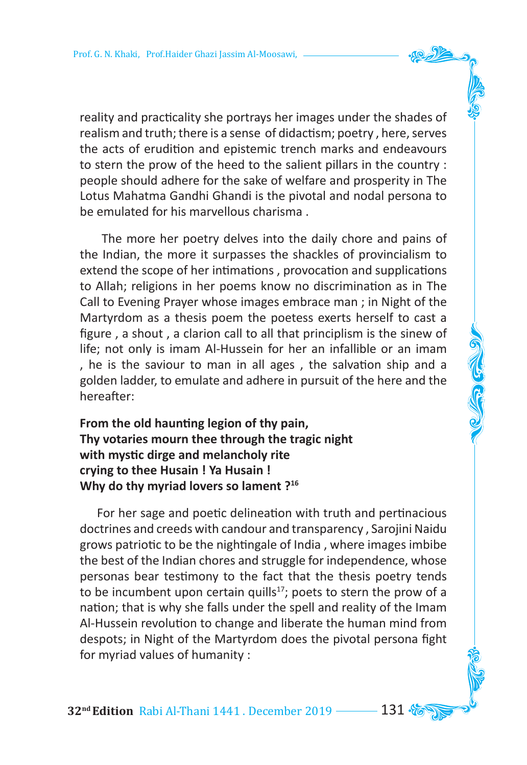reality and practicality she portrays her images under the shades of realism and truth; there is a sense of didactism; poetry , here, serves the acts of erudition and epistemic trench marks and endeavours to stern the prow of the heed to the salient pillars in the country : people should adhere for the sake of welfare and prosperity in The Lotus Mahatma Gandhi Ghandi is the pivotal and nodal persona to be emulated for his marvellous charisma .

 The more her poetry delves into the daily chore and pains of the Indian, the more it surpasses the shackles of provincialism to extend the scope of her intimations , provocation and supplications to Allah; religions in her poems know no discrimination as in The Call to Evening Prayer whose images embrace man ; in Night of the Martyrdom as a thesis poem the poetess exerts herself to cast a figure , a shout , a clarion call to all that principlism is the sinew of life; not only is imam Al-Hussein for her an infallible or an imam , he is the saviour to man in all ages , the salvation ship and a golden ladder, to emulate and adhere in pursuit of the here and the hereafter:

# **From the old haunting legion of thy pain, Thy votaries mourn thee through the tragic night with mystic dirge and melancholy rite crying to thee Husain ! Ya Husain ! Why do thy myriad lovers so lament ?16**

 For her sage and poetic delineation with truth and pertinacious doctrines and creeds with candour and transparency , Sarojini Naidu grows patriotic to be the nightingale of India , where images imbibe the best of the Indian chores and struggle for independence, whose personas bear testimony to the fact that the thesis poetry tends to be incumbent upon certain quills<sup>17</sup>; poets to stern the prow of a nation; that is why she falls under the spell and reality of the Imam Al-Hussein revolution to change and liberate the human mind from despots; in Night of the Martyrdom does the pivotal persona fight for myriad values of humanity :

**32<sup>nd</sup> Edition** Rabi Al-Thani 1441 . December 2019 ––––– 131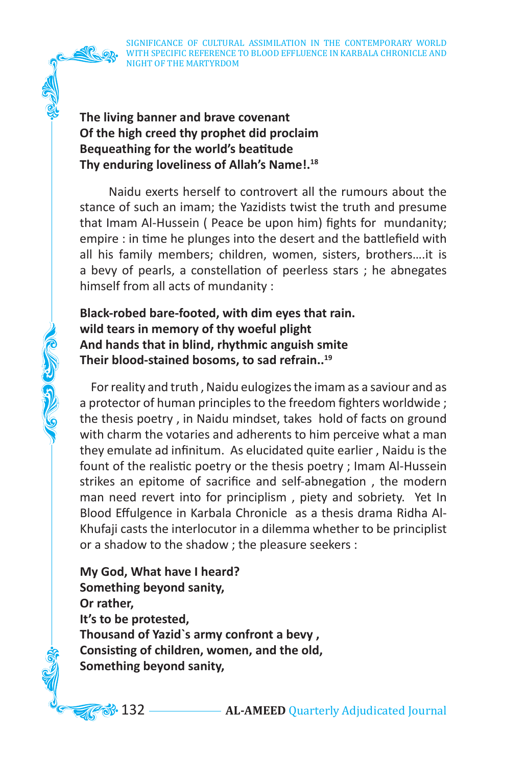SIGNIFICANCE OF CULTURAL ASSIMILATION IN THE CONTEMPORARY WORLD WITH SPECIFIC REFERENCE TO BLOOD EFFLUENCE IN KARBALA CHRONICLE AND NIGHT OF THE MARTYRDOM

**The living banner and brave covenant Of the high creed thy prophet did proclaim Bequeathing for the world's beatitude Thy enduring loveliness of Allah's Name!.18**

 Naidu exerts herself to controvert all the rumours about the stance of such an imam; the Yazidists twist the truth and presume that Imam Al-Hussein ( Peace be upon him) fights for mundanity; empire : in time he plunges into the desert and the battlefield with all his family members; children, women, sisters, brothers….it is a bevy of pearls, a constellation of peerless stars ; he abnegates himself from all acts of mundanity :

**Black-robed bare-footed, with dim eyes that rain. wild tears in memory of thy woeful plight And hands that in blind, rhythmic anguish smite Their blood-stained bosoms, to sad refrain..19** 

CONGRESSION

For reality and truth, Naidu eulogizes the imam as a saviour and as a protector of human principles to the freedom fighters worldwide; the thesis poetry , in Naidu mindset, takes hold of facts on ground with charm the votaries and adherents to him perceive what a man they emulate ad infinitum. As elucidated quite earlier , Naidu is the fount of the realistic poetry or the thesis poetry ; Imam Al-Hussein strikes an epitome of sacrifice and self-abnegation , the modern man need revert into for principlism , piety and sobriety. Yet In Blood Effulgence in Karbala Chronicle as a thesis drama Ridha Al-Khufaji casts the interlocutor in a dilemma whether to be principlist or a shadow to the shadow ; the pleasure seekers :

**My God, What have I heard? Something beyond sanity, Or rather, It's to be protested, Thousand of Yazid`s army confront a bevy , Consisting of children, women, and the old, Something beyond sanity,**

**33.** 132 — **AL-AMEED** Quarterly Adjudicated Journal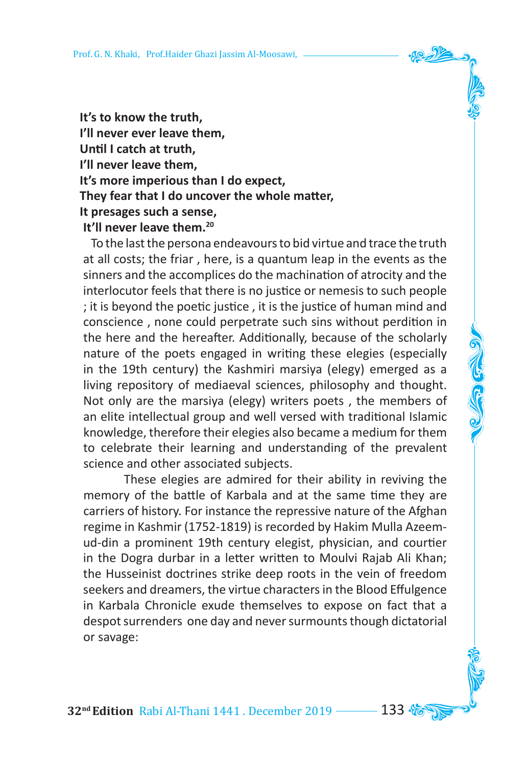**It's to know the truth, I'll never ever leave them, Until I catch at truth, I'll never leave them, It's more imperious than I do expect, They fear that I do uncover the whole matter, It presages such a sense, It'll never leave them.20**

To the last the persona endeavours to bid virtue and trace the truth at all costs; the friar , here, is a quantum leap in the events as the sinners and the accomplices do the machination of atrocity and the interlocutor feels that there is no justice or nemesis to such people ; it is beyond the poetic justice , it is the justice of human mind and conscience , none could perpetrate such sins without perdition in the here and the hereafter. Additionally, because of the scholarly nature of the poets engaged in writing these elegies (especially in the 19th century) the Kashmiri marsiya (elegy) emerged as a living repository of mediaeval sciences, philosophy and thought. Not only are the marsiya (elegy) writers poets , the members of an elite intellectual group and well versed with traditional Islamic knowledge, therefore their elegies also became a medium for them to celebrate their learning and understanding of the prevalent science and other associated subjects.

These elegies are admired for their ability in reviving the memory of the battle of Karbala and at the same time they are carriers of history. For instance the repressive nature of the Afghan regime in Kashmir (1752-1819) is recorded by Hakim Mulla Azeemud-din a prominent 19th century elegist, physician, and courtier in the Dogra durbar in a letter written to Moulvi Rajab Ali Khan; the Husseinist doctrines strike deep roots in the vein of freedom seekers and dreamers, the virtue characters in the Blood Effulgence in Karbala Chronicle exude themselves to expose on fact that a despot surrenders one day and never surmounts though dictatorial or savage:

**32<sup>nd</sup> Edition** Rabi Al-Thani 1441 . December 2019 ––––– 133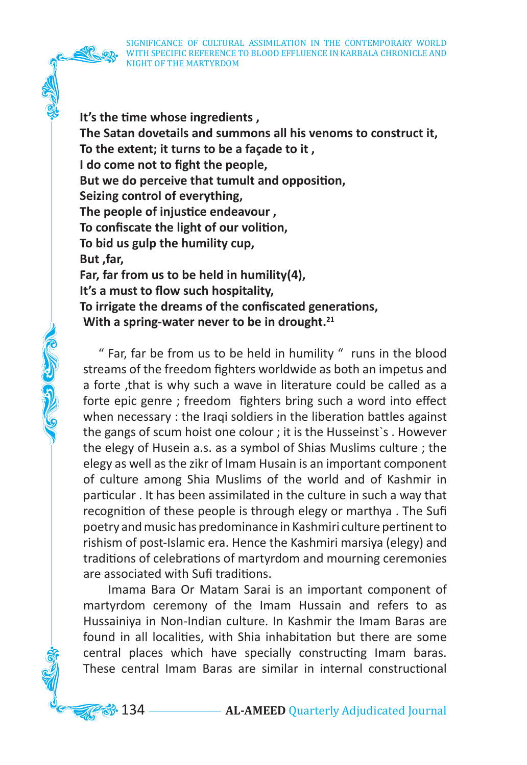SIGNIFICANCE OF CULTURAL ASSIMILATION IN THE CONTEMPORARY WORLD WITH SPECIFIC REFERENCE TO BLOOD EFFLUENCE IN KARBALA CHRONICLE AND NIGHT OF THE MARTYRDOM

**It's the time whose ingredients , The Satan dovetails and summons all his venoms to construct it, To the extent; it turns to be a façade to it , I do come not to fight the people, But we do perceive that tumult and opposition, Seizing control of everything, The people of injustice endeavour , To confiscate the light of our volition, To bid us gulp the humility cup, But ,far, Far, far from us to be held in humility(4), It's a must to flow such hospitality, To irrigate the dreams of the confiscated generations, With a spring-water never to be in drought.21** 

 " Far, far be from us to be held in humility " runs in the blood streams of the freedom fighters worldwide as both an impetus and a forte ,that is why such a wave in literature could be called as a forte epic genre ; freedom fighters bring such a word into effect when necessary : the Iraqi soldiers in the liberation battles against the gangs of scum hoist one colour ; it is the Husseinst`s . However the elegy of Husein a.s. as a symbol of Shias Muslims culture ; the elegy as well as the zikr of Imam Husain is an important component of culture among Shia Muslims of the world and of Kashmir in particular . It has been assimilated in the culture in such a way that recognition of these people is through elegy or marthya . The Sufi poetry and music has predominance in Kashmiri culture pertinent to rishism of post-Islamic era. Hence the Kashmiri marsiya (elegy) and traditions of celebrations of martyrdom and mourning ceremonies are associated with Sufi traditions.

CONGRESSION

 Imama Bara Or Matam Sarai is an important component of martyrdom ceremony of the Imam Hussain and refers to as Hussainiya in Non-Indian culture. In Kashmir the Imam Baras are found in all localities, with Shia inhabitation but there are some central places which have specially constructing Imam baras. These central Imam Baras are similar in internal constructional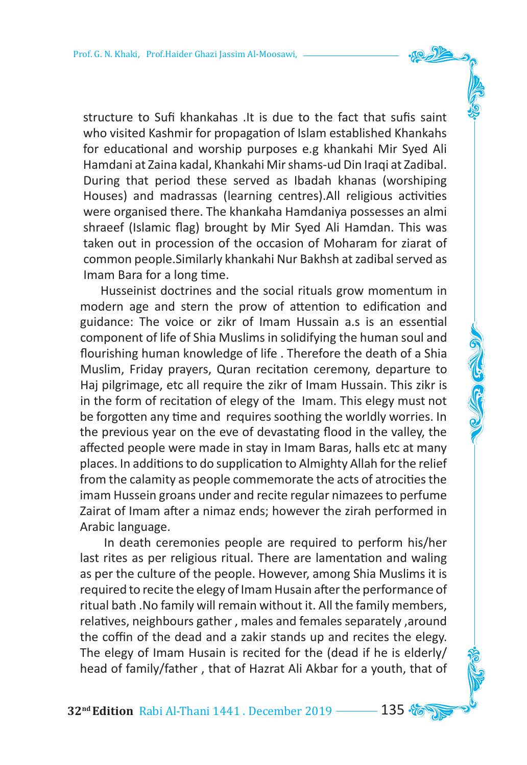structure to Sufi khankahas .It is due to the fact that sufis saint who visited Kashmir for propagation of Islam established Khankahs for educational and worship purposes e.g khankahi Mir Syed Ali Hamdani at Zaina kadal, Khankahi Mirshams-ud Din Iraqi at Zadibal. During that period these served as Ibadah khanas (worshiping Houses) and madrassas (learning centres).All religious activities were organised there. The khankaha Hamdaniya possesses an almi shraeef (Islamic flag) brought by Mir Syed Ali Hamdan. This was taken out in procession of the occasion of Moharam for ziarat of common people. Similarly khankahi Nur Bakhsh at zadibal served as Imam Bara for a long time.

 Husseinist doctrines and the social rituals grow momentum in modern age and stern the prow of attention to edification and guidance: The voice or zikr of Imam Hussain a.s is an essential component of life of Shia Muslims in solidifying the human soul and flourishing human knowledge of life . Therefore the death of a Shia Muslim, Friday prayers, Quran recitation ceremony, departure to Haj pilgrimage, etc all require the zikr of Imam Hussain. This zikr is in the form of recitation of elegy of the Imam. This elegy must not be forgotten any time and requires soothing the worldly worries. In the previous year on the eve of devastating flood in the valley, the affected people were made in stay in Imam Baras, halls etc at many places. In additions to do supplication to Almighty Allah for the relief from the calamity as people commemorate the acts of atrocities the imam Hussein groans under and recite regular nimazeesto perfume Zairat of Imam after a nimaz ends; however the zirah performed in Arabic language.

 In death ceremonies people are required to perform his/her last rites as per religious ritual. There are lamentation and waling as per the culture of the people. However, among Shia Muslims it is required to recite the elegy of Imam Husain after the performance of ritual bath .No family will remain without it. All the family members, relatives, neighbours gather , males and females separately ,around the coffin of the dead and a zakir stands up and recites the elegy. The elegy of Imam Husain is recited for the (dead if he is elderly/ head of family/father , that of Hazrat Ali Akbar for a youth, that of

**32<sup>nd</sup> Edition** Rabi Al-Thani 1441 . December 2019 ------- 135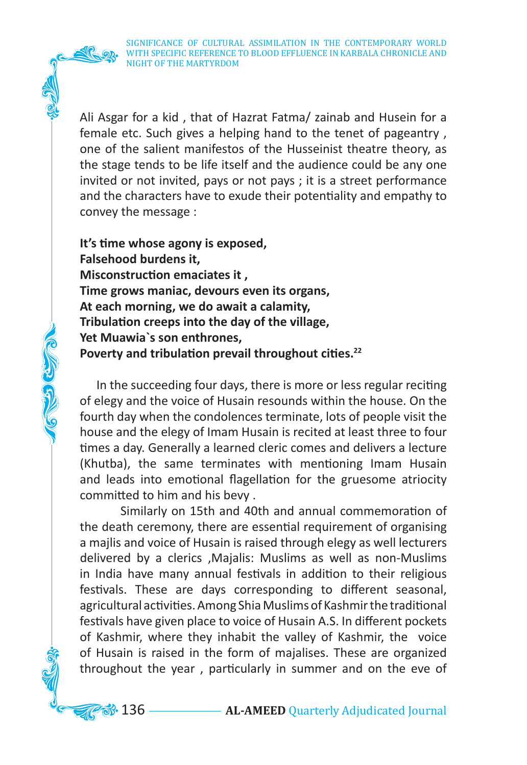SIGNIFICANCE OF CULTURAL ASSIMILATION IN THE CONTEMPORARY WORLD WITH SPECIFIC REFERENCE TO BLOOD EFFLUENCE IN KARBALA CHRONICLE AND NIGHT OF THE MARTYRDOM

Ali Asgar for a kid , that of Hazrat Fatma/ zainab and Husein for a female etc. Such gives a helping hand to the tenet of pageantry , one of the salient manifestos of the Husseinist theatre theory, as the stage tends to be life itself and the audience could be any one invited or not invited, pays or not pays ; it is a street performance and the characters have to exude their potentiality and empathy to convey the message :

**It's time whose agony is exposed, Falsehood burdens it, Misconstruction emaciates it , Time grows maniac, devours even its organs, At each morning, we do await a calamity, Tribulation creeps into the day of the village, Yet Muawia`s son enthrones, Poverty and tribulation prevail throughout cities.<sup>22</sup>**

C G G C

 In the succeeding four days, there is more or less regular reciting of elegy and the voice of Husain resounds within the house. On the fourth day when the condolences terminate, lots of people visit the house and the elegy of Imam Husain is recited at least three to four times a day. Generally a learned cleric comes and delivers a lecture (Khutba), the same terminates with mentioning Imam Husain and leads into emotional flagellation for the gruesome atriocity committed to him and his bevy .

Similarly on 15th and 40th and annual commemoration of the death ceremony, there are essential requirement of organising a majlis and voice of Husain is raised through elegy as well lecturers delivered by a clerics ,Majalis: Muslims as well as non-Muslims in India have many annual festivals in addition to their religious festivals. These are days corresponding to different seasonal, agricultural activities. Among Shia Muslims of Kashmir the traditional festivals have given place to voice of Husain A.S. In different pockets of Kashmir, where they inhabit the valley of Kashmir, the voice of Husain is raised in the form of majalises. These are organized throughout the year , particularly in summer and on the eve of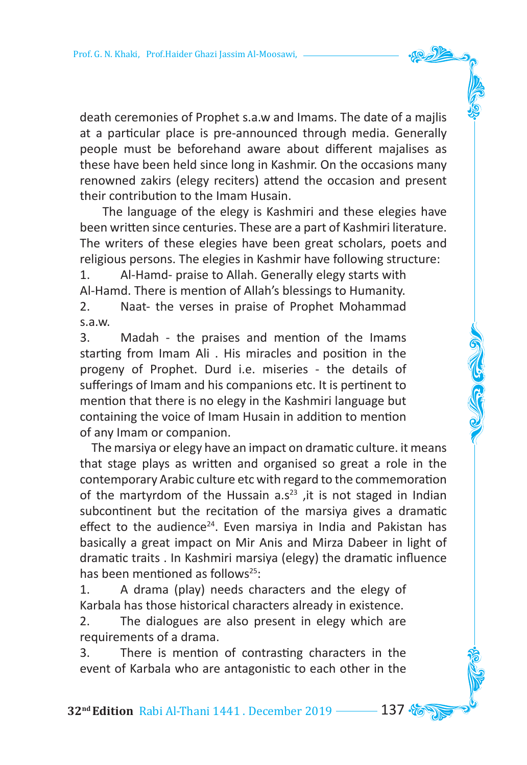death ceremonies of Prophet s.a.w and Imams. The date of a majlis at a particular place is pre-announced through media. Generally people must be beforehand aware about different majalises as these have been held since long in Kashmir. On the occasions many renowned zakirs (elegy reciters) attend the occasion and present their contribution to the Imam Husain.

 The language of the elegy is Kashmiri and these elegies have been written since centuries. These are a part of Kashmiri literature. The writers of these elegies have been great scholars, poets and religious persons. The elegies in Kashmir have following structure:

1. Al-Hamd- praise to Allah. Generally elegy starts with Al-Hamd. There is mention of Allah's blessings to Humanity. 2. Naat- the verses in praise of Prophet Mohammad

s.a.w.

3. Madah - the praises and mention of the Imams starting from Imam Ali . His miracles and position in the progeny of Prophet. Durd i.e. miseries - the details of sufferings of Imam and his companions etc. It is pertinent to mention that there is no elegy in the Kashmiri language but containing the voice of Imam Husain in addition to mention of any Imam or companion.

 The marsiya or elegy have an impact on dramatic culture. it means that stage plays as written and organised so great a role in the contemporary Arabic culture etc with regard to the commemoration of the martyrdom of the Hussain  $a.s<sup>23</sup>$ , it is not staged in Indian subcontinent but the recitation of the marsiya gives a dramatic effect to the audience<sup>24</sup>. Even marsiya in India and Pakistan has basically a great impact on Mir Anis and Mirza Dabeer in light of dramatic traits . In Kashmiri marsiya (elegy) the dramatic influence has been mentioned as follows $25$ :

1. A drama (play) needs characters and the elegy of Karbala has those historical characters already in existence.

2. The dialogues are also present in elegy which are requirements of a drama.

3. There is mention of contrasting characters in the event of Karbala who are antagonistic to each other in the

**32nd Edition** Rabi Al-Thani 1441 . December 2019 137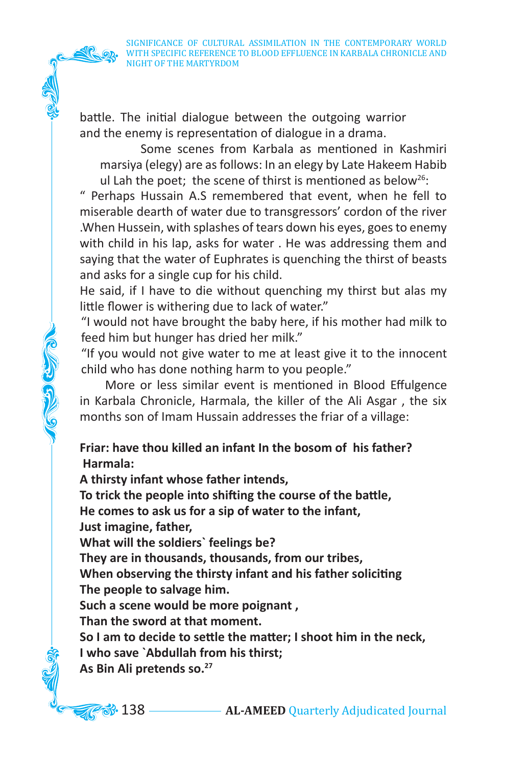battle. The initial dialogue between the outgoing warrior and the enemy is representation of dialogue in a drama.

Some scenes from Karbala as mentioned in Kashmiri marsiya (elegy) are asfollows: In an elegy by Late Hakeem Habib ul Lah the poet; the scene of thirst is mentioned as below<sup>26</sup>:

" Perhaps Hussain A.S remembered that event, when he fell to miserable dearth of water due to transgressors' cordon of the river .When Hussein, with splashes of tears down his eyes, goesto enemy with child in his lap, asks for water . He was addressing them and saying that the water of Euphrates is quenching the thirst of beasts and asks for a single cup for his child.

He said, if I have to die without quenching my thirst but alas my little flower is withering due to lack of water."

"I would not have brought the baby here, if his mother had milk to feed him but hunger has dried her milk."

"If you would not give water to me at least give it to the innocent child who has done nothing harm to you people."

 More or less similar event is mentioned in Blood Effulgence in Karbala Chronicle, Harmala, the killer of the Ali Asgar , the six months son of Imam Hussain addresses the friar of a village:

**Friar: have thou killed an infant In the bosom of his father? Harmala:** 

**A thirsty infant whose father intends,**

**To trick the people into shifting the course of the battle,**

**He comes to ask us for a sip of water to the infant,**

**Just imagine, father,**

**What will the soldiers` feelings be?** 

**They are in thousands, thousands, from our tribes,**

**When observing the thirsty infant and his father soliciting The people to salvage him.**

**Such a scene would be more poignant ,**

**Than the sword at that moment.**

**So I am to decide to settle the matter; I shoot him in the neck, I who save `Abdullah from his thirst;** 

**As Bin Ali pretends so.27**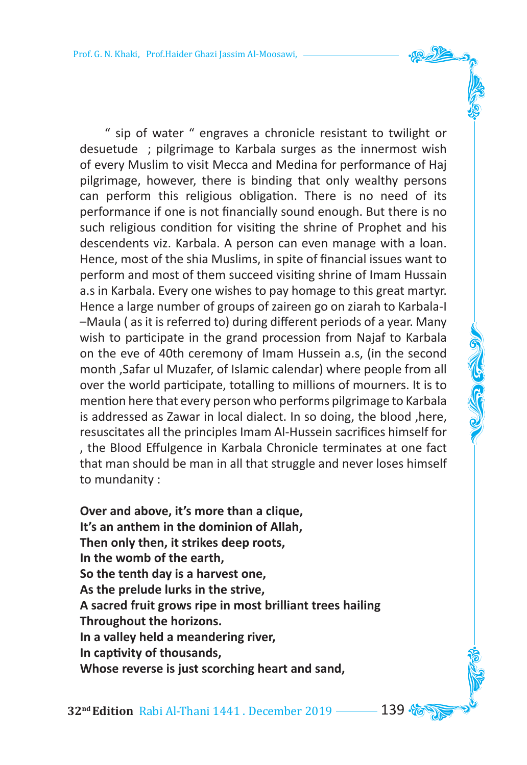" sip of water " engraves a chronicle resistant to twilight or desuetude ; pilgrimage to Karbala surges as the innermost wish of every Muslim to visit Mecca and Medina for performance of Haj pilgrimage, however, there is binding that only wealthy persons can perform this religious obligation. There is no need of its performance if one is not financially sound enough. But there is no such religious condition for visiting the shrine of Prophet and his descendents viz. Karbala. A person can even manage with a loan. Hence, most of the shia Muslims, in spite of financial issues want to perform and most of them succeed visiting shrine of Imam Hussain a.s in Karbala. Every one wishes to pay homage to this great martyr. Hence a large number of groups of zaireen go on ziarah to Karbala-I –Maula ( as it is referred to) during different periods of a year. Many wish to participate in the grand procession from Najaf to Karbala on the eve of 40th ceremony of Imam Hussein a.s, (in the second month ,Safar ul Muzafer, of Islamic calendar) where people from all over the world participate, totalling to millions of mourners. It is to mention here that every person who performs pilgrimage to Karbala is addressed as Zawar in local dialect. In so doing, the blood ,here, resuscitates all the principles Imam Al-Hussein sacrifices himself for , the Blood Effulgence in Karbala Chronicle terminates at one fact that man should be man in all that struggle and never loses himself to mundanity :

**Over and above, it's more than a clique, It's an anthem in the dominion of Allah, Then only then, it strikes deep roots, In the womb of the earth, So the tenth day is a harvest one, As the prelude lurks in the strive, A sacred fruit grows ripe in most brilliant trees hailing Throughout the horizons. In a valley held a meandering river, In captivity of thousands, Whose reverse is just scorching heart and sand,**

**32<sup>nd</sup> Edition** Rabi Al-Thani 1441 . December 2019 **139 %**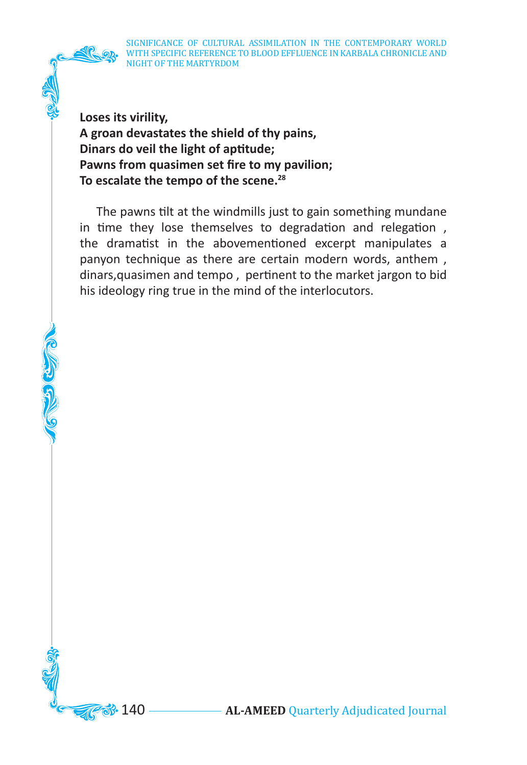SIGNIFICANCE OF CULTURAL ASSIMILATION IN THE CONTEMPORARY WORLD WITH SPECIFIC REFERENCE TO BLOOD EFFLUENCE IN KARBALA CHRONICLE AND NIGHT OF THE MARTYRDOM

**Loses its virility, A groan devastates the shield of thy pains, Dinars do veil the light of aptitude; Pawns from quasimen set fire to my pavilion; To escalate the tempo of the scene.28**

 The pawns tilt at the windmills just to gain something mundane in time they lose themselves to degradation and relegation , the dramatist in the abovementioned excerpt manipulates a panyon technique as there are certain modern words, anthem , dinars,quasimen and tempo , pertinent to the market jargon to bid his ideology ring true in the mind of the interlocutors.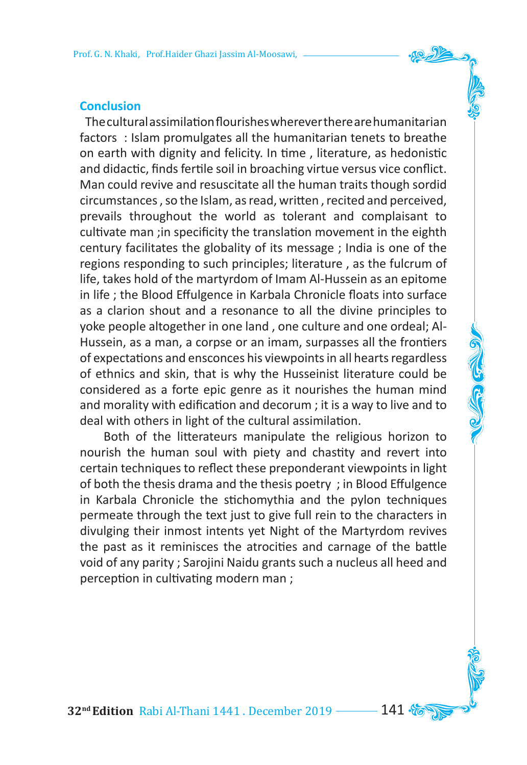### **Conclusion**

 Theculturalassimilationflourisheswherevertherearehumanitarian factors : Islam promulgates all the humanitarian tenets to breathe on earth with dignity and felicity. In time , literature, as hedonistic and didactic, finds fertile soil in broaching virtue versus vice conflict. Man could revive and resuscitate all the human traits though sordid circumstances , so the Islam, asread, written , recited and perceived, prevails throughout the world as tolerant and complaisant to cultivate man ;in specificity the translation movement in the eighth century facilitates the globality of its message ; India is one of the regions responding to such principles; literature , as the fulcrum of life, takes hold of the martyrdom of Imam Al-Hussein as an epitome in life ; the Blood Effulgence in Karbala Chronicle floats into surface as a clarion shout and a resonance to all the divine principles to yoke people altogether in one land , one culture and one ordeal; Al-Hussein, as a man, a corpse or an imam, surpasses all the frontiers of expectations and ensconces his viewpoints in all hearts regardless of ethnics and skin, that is why the Husseinist literature could be considered as a forte epic genre as it nourishes the human mind and morality with edification and decorum ; it is a way to live and to deal with others in light of the cultural assimilation.

 Both of the litterateurs manipulate the religious horizon to nourish the human soul with piety and chastity and revert into certain techniques to reflect these preponderant viewpoints in light of both the thesis drama and the thesis poetry ; in Blood Effulgence in Karbala Chronicle the stichomythia and the pylon techniques permeate through the text just to give full rein to the characters in divulging their inmost intents yet Night of the Martyrdom revives the past as it reminisces the atrocities and carnage of the battle void of any parity ; Sarojini Naidu grants such a nucleus all heed and perception in cultivating modern man ;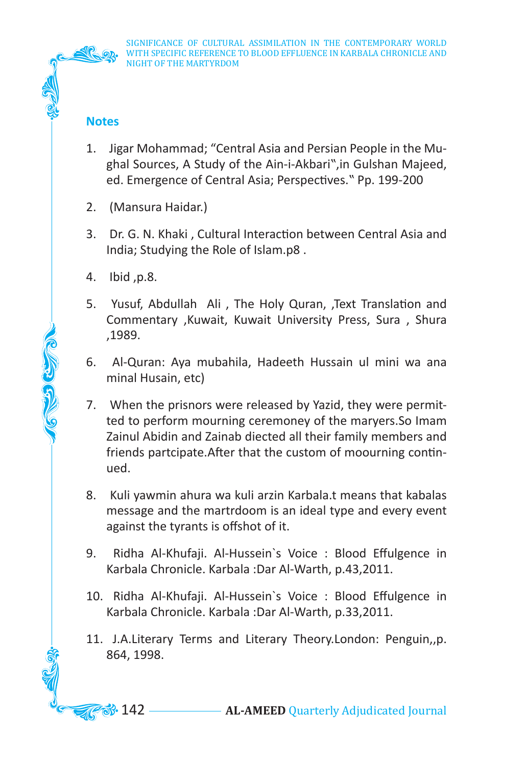

# **Notes**

- 1. Jigar Mohammad; "Central Asia and Persian People in the Mughal Sources, A Study of the Ain-i-Akbari",in Gulshan Majeed, ed. Emergence of Central Asia; Perspectives." Pp. 199-200
- 2. (Mansura Haidar.)
- 3. Dr. G. N. Khaki , Cultural Interaction between Central Asia and India; Studying the Role of Islam.p8 .
- 4. Ibid ,p.8.

CO CON

- 5. Yusuf, Abdullah Ali , The Holy Quran, ,Text Translation and Commentary ,Kuwait, Kuwait University Press, Sura , Shura ,1989.
- 6. Al-Quran: Aya mubahila, Hadeeth Hussain ul mini wa ana minal Husain, etc)
- 7. When the prisnors were released by Yazid, they were permitted to perform mourning ceremoney of the maryers.So Imam Zainul Abidin and Zainab diected all their family members and friends partcipate.After that the custom of moourning continued.
- 8. Kuli yawmin ahura wa kuli arzin Karbala.t means that kabalas message and the martrdoom is an ideal type and every event against the tyrants is offshot of it.
- 9. Ridha Al-Khufaji. Al-Hussein`s Voice : Blood Effulgence in Karbala Chronicle. Karbala :Dar Al-Warth, p.43,2011.
- 10. Ridha Al-Khufaji. Al-Hussein`s Voice : Blood Effulgence in Karbala Chronicle. Karbala :Dar Al-Warth, p.33,2011.
- 11. J.A.Literary Terms and Literary Theory.London: Penguin,,p. 864, 1998.

142 **AL-AMEED** Quarterly Adjudicated Journal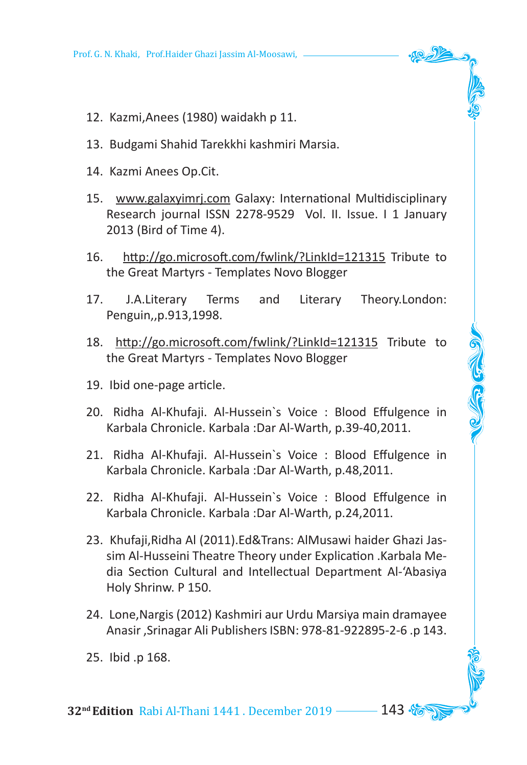- 12. Kazmi,Anees (1980) waidakh p 11.
- 13. Budgami Shahid Tarekkhi kashmiri Marsia.
- 14. Kazmi Anees Op.Cit.
- 15. www.galaxyimrj.com Galaxy: International Multidisciplinary Research journal ISSN 2278-9529 Vol. II. Issue. I 1 January 2013 (Bird of Time 4).
- 16. http://go.microsoft.com/fwlink/?LinkId=121315 Tribute to the Great Martyrs - Templates Novo Blogger
- 17. J.A.Literary Terms and Literary Theory.London: Penguin,,p.913,1998.
- 18. http://go.microsoft.com/fwlink/?LinkId=121315 Tribute to the Great Martyrs - Templates Novo Blogger
- 19. Ibid one-page article.
- 20. Ridha Al-Khufaji. Al-Hussein`s Voice : Blood Effulgence in Karbala Chronicle. Karbala :Dar Al-Warth, p.39-40,2011.
- 21. Ridha Al-Khufaji. Al-Hussein`s Voice : Blood Effulgence in Karbala Chronicle. Karbala :Dar Al-Warth, p.48,2011.
- 22. Ridha Al-Khufaji. Al-Hussein`s Voice : Blood Effulgence in Karbala Chronicle. Karbala :Dar Al-Warth, p.24,2011.
- 23. Khufaji,Ridha Al (2011).Ed&Trans: AlMusawi haider Ghazi Jassim Al-Husseini Theatre Theory under Explication .Karbala Media Section Cultural and Intellectual Department Al-'Abasiya Holy Shrinw. P 150.
- 24. Lone,Nargis (2012) Kashmiri aur Urdu Marsiya main dramayee Anasir ,Srinagar Ali Publishers ISBN: 978-81-922895-2-6 .p 143.
- 25. Ibid .p 168.

**32<sup>nd</sup> Edition** Rabi Al-Thani 1441 . December 2019 ––––– 143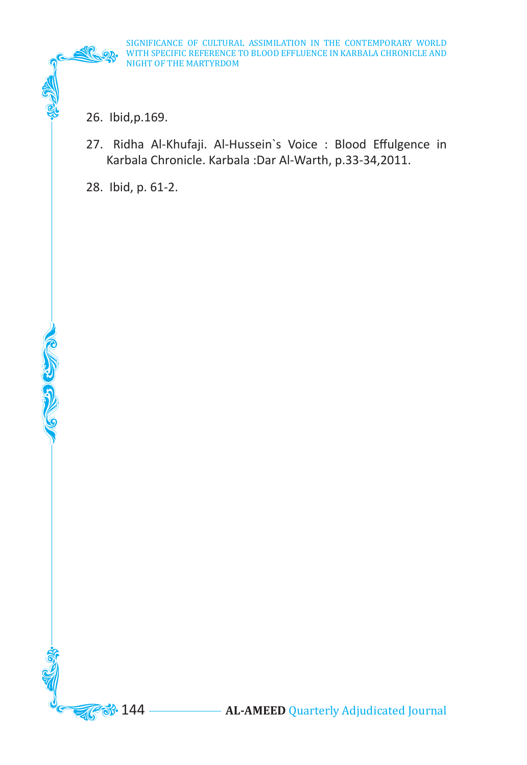26. Ibid,p.169.

27. Ridha Al-Khufaji. Al-Hussein`s Voice : Blood Effulgence in Karbala Chronicle. Karbala :Dar Al-Warth, p.33-34,2011.

28. Ibid, p. 61-2.

**CERCEMENT**